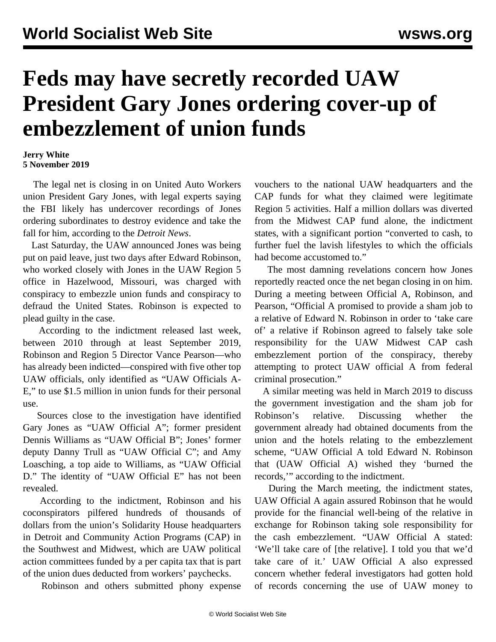## **Feds may have secretly recorded UAW President Gary Jones ordering cover-up of embezzlement of union funds**

## **Jerry White 5 November 2019**

 The legal net is closing in on United Auto Workers union President Gary Jones, with legal experts saying the FBI likely has undercover recordings of Jones ordering subordinates to destroy evidence and take the fall for him, according to the *Detroit News*.

 Last Saturday, the UAW announced Jones was being put on paid leave, just two days after Edward Robinson, who worked closely with Jones in the UAW Region 5 office in Hazelwood, Missouri, was charged with conspiracy to embezzle union funds and conspiracy to defraud the United States. Robinson is expected to plead guilty in the case.

 According to the indictment released last week, between 2010 through at least September 2019, Robinson and Region 5 Director Vance Pearson—who has already been indicted—conspired with five other top UAW officials, only identified as "UAW Officials A-E," to use \$1.5 million in union funds for their personal use.

 Sources close to the investigation have identified Gary Jones as "UAW Official A"; former president Dennis Williams as "UAW Official B"; Jones' former deputy Danny Trull as "UAW Official C"; and Amy Loasching, a top aide to Williams, as "UAW Official D." The identity of "UAW Official E" has not been revealed.

 According to the indictment, Robinson and his coconspirators pilfered hundreds of thousands of dollars from the union's Solidarity House headquarters in Detroit and Community Action Programs (CAP) in the Southwest and Midwest, which are UAW political action committees funded by a per capita tax that is part of the union dues deducted from workers' paychecks.

Robinson and others submitted phony expense

vouchers to the national UAW headquarters and the CAP funds for what they claimed were legitimate Region 5 activities. Half a million dollars was diverted from the Midwest CAP fund alone, the indictment states, with a significant portion "converted to cash, to further fuel the lavish lifestyles to which the officials had become accustomed to."

 The most damning revelations concern how Jones reportedly reacted once the net began closing in on him. During a meeting between Official A, Robinson, and Pearson, "Official A promised to provide a sham job to a relative of Edward N. Robinson in order to 'take care of' a relative if Robinson agreed to falsely take sole responsibility for the UAW Midwest CAP cash embezzlement portion of the conspiracy, thereby attempting to protect UAW official A from federal criminal prosecution."

 A similar meeting was held in March 2019 to discuss the government investigation and the sham job for Robinson's relative. Discussing whether the government already had obtained documents from the union and the hotels relating to the embezzlement scheme, "UAW Official A told Edward N. Robinson that (UAW Official A) wished they 'burned the records,'" according to the indictment.

 During the March meeting, the indictment states, UAW Official A again assured Robinson that he would provide for the financial well-being of the relative in exchange for Robinson taking sole responsibility for the cash embezzlement. "UAW Official A stated: 'We'll take care of [the relative]. I told you that we'd take care of it.' UAW Official A also expressed concern whether federal investigators had gotten hold of records concerning the use of UAW money to